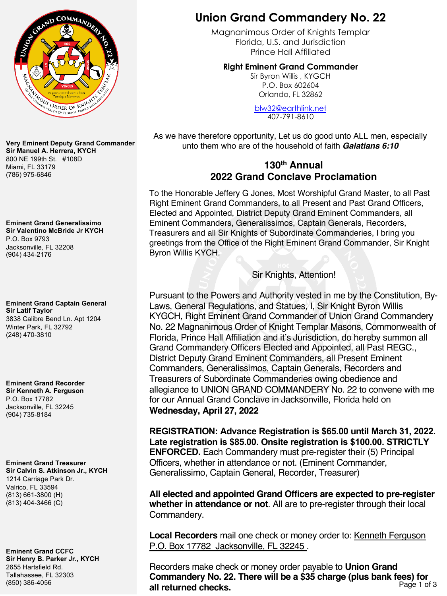

**Very Eminent Deputy Grand Commander Sir Manuel A. Herrera, KYCH** 800 NE 199th St. #108D Miami, FL 33179 (786) 975-6846

**Eminent Grand Generalissimo Sir Valentino McBride Jr KYCH** P.O. Box 9793 Jacksonville, FL 32208 (904) 434-2176

**Eminent Grand Captain General Sir Latif Taylor** 3838 Calibre Bend Ln. Apt 1204 Winter Park, FL 32792 (248) 470-3810

**Eminent Grand Recorder Sir Kenneth A. Ferguson** P.O. Box 17782 Jacksonville, FL 32245 (904) 735-8184

**Eminent Grand Treasurer Sir Calvin S. Atkinson Jr., KYCH** 1214 Carriage Park Dr. Valrico, FL 33594 (813) 661-3800 (H) (813) 404-3466 (C)

**Eminent Grand CCFC Sir Henry B. Parker Jr., KYCH** 2655 Hartsfield Rd. Tallahassee, FL 32303 (850) 386-4056

### **Union Grand Commandery No. 22**

Magnanimous Order of Knights Templar Florida, U.S. and Jurisdiction [Prince Hall Affiliated](mailto:blw32@earthlink.net)

**Right Eminent Grand Commander** 

Sir Byron Willis , KYGCH P.O. Box 602604 Orlando, FL 32862

blw32@earthlink.net 407-791-8610

As we have therefore opportunity, Let us do good unto ALL men, especially unto them who are of the household of faith *Galatians 6:10*

### **130th Annual 2022 Grand Conclave Proclamation**

To the Honorable Jeffery G Jones, Most Worshipful Grand Master, to all Past Right Eminent Grand Commanders, to all Present and Past Grand Officers, Elected and Appointed, District Deputy Grand Eminent Commanders, all Eminent Commanders, Generalissimos, Captain Generals, Recorders, Treasurers and all Sir Knights of Subordinate Commanderies, I bring you greetings from the Office of the Right Eminent Grand Commander, Sir Knight Byron Willis KYCH.

#### Sir Knights, Attention!

Pursuant to the Powers and Authority vested in me by the Constitution, By-Laws, General Regulations, and Statues, I, Sir Knight Byron Willis KYGCH, Right Eminent Grand Commander of Union Grand Commandery No. 22 Magnanimous Order of Knight Templar Masons, Commonwealth of Florida, Prince Hall Affiliation and it's Jurisdiction, do hereby summon all Grand Commandery Officers Elected and Appointed, all Past REGC., District Deputy Grand Eminent Commanders, all Present Eminent Commanders, Generalissimos, Captain Generals, Recorders and Treasurers of Subordinate Commanderies owing obedience and allegiance to UNION GRAND COMMANDERY No. 22 to convene with me for our Annual Grand Conclave in Jacksonville, Florida held on **Wednesday, April 27, 2022**

**REGISTRATION: Advance Registration is \$65.00 until March 31, 2022. Late registration is \$85.00. Onsite registration is \$100.00. STRICTLY ENFORCED.** Each Commandery must pre-register their (5) Principal Officers, whether in attendance or not. (Eminent Commander, Generalissimo, Captain General, Recorder, Treasurer)

**All elected and appointed Grand Officers are expected to pre-register whether in attendance or not**. All are to pre-register through their local Commandery.

Local Recorders mail one check or money order to: Kenneth Ferguson P.O. Box 17782 Jacksonville, FL 32245 .

Recorders make check or money order payable to **Union Grand Commandery No. 22. There will be a \$35 charge (plus bank fees) for <br>Page 1 of 3<br>Page 1 of 3** all returned checks.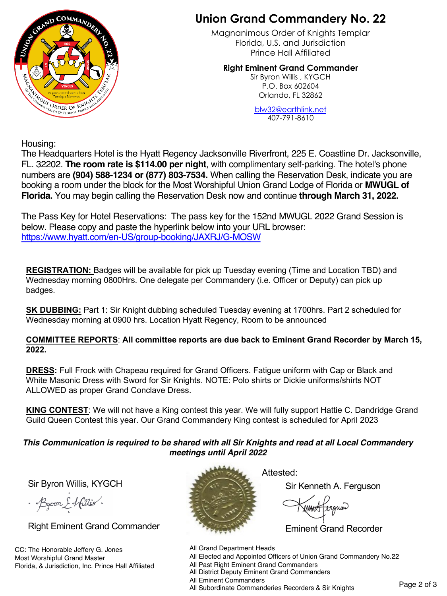

# **Union Grand Commandery No. 22**

Magnanimous Order of Knights Templar Florida, U.S. and Jurisdiction [Prince Hall Affiliated](mailto:blw32@earthlink.net)

**Right Eminent Grand Commander**  Sir Byron Willis , KYGCH

P.O. Box 602604 Orlando, FL 32862

blw32@earthlink.net 407-791-8610

Housing:

The Headquarters Hotel is the Hyatt Regency Jacksonville Riverfront, 225 E. Coastline Dr. Jacksonville, FL. 32202. **The room rate is \$114.00 per night**, with complimentary self-parking. The hotel's phone numbers are **[\(904\) 588-1234 or \(877\) 803-7534.](https://www.hyatt.com/en-US/group-booking/JAXRJ/G-MOSW)** When calling the Reservation Desk, indicate you are booking a room under the block for the Most Worshipful Union Grand Lodge of Florida or **MWUGL of Florida.** You may begin calling the Reservation Desk now and continue **through March 31, 2022.**

The Pass Key for Hotel Reservations: The pass key for the 152nd MWUGL 2022 Grand Session is below. Please copy and paste the hyperlink below into your URL browser: https://www.hyatt.com/en-US/group-booking/JAXRJ/G-MOSW

**REGISTRATION:** Badges will be available for pick up Tuesday evening (Time and Location TBD) and Wednesday morning 0800Hrs. One delegate per Commandery (i.e. Officer or Deputy) can pick up badges.

**SK DUBBING:** Part 1: Sir Knight dubbing scheduled Tuesday evening at 1700hrs. Part 2 scheduled for Wednesday morning at 0900 hrs. Location Hyatt Regency, Room to be announced

#### **COMMITTEE REPORTS**: **All committee reports are due back to Eminent Grand Recorder by March 15, 2022.**

**DRESS:** Full Frock with Chapeau required for Grand Officers. Fatigue uniform with Cap or Black and White Masonic Dress with Sword for Sir Knights. NOTE: Polo shirts or Dickie uniforms/shirts NOT ALLOWED as proper Grand Conclave Dress.

**KING CONTEST**: We will not have a King contest this year. We will fully support Hattie C. Dandridge Grand Guild Queen Contest this year. Our Grand Commandery King contest is scheduled for April 2023

#### *This Communication is required to be shared with all Sir Knights and read at all Local Commandery meetings until April 2022*

Sir Byron Willis, KYGCH

· Bycon & Willis.

Right Eminent Grand Commander

CC: The Honorable Jeffery G. Jones Most Worshipful Grand Master Florida, & Jurisdiction, Inc. Prince Hall Affiliated



Attested:

Sir Kenneth A. Ferguson

Eminent Grand Recorder

All Grand Department Heads

All Elected and Appointed Officers of Union Grand Commandery No.22

All Past Right Eminent Grand Commanders

All District Deputy Eminent Grand Commanders

All Eminent Commanders

All Enfinent Commanders<br>All Subordinate Commanderies Recorders & Sir Knights Page 2 of 3